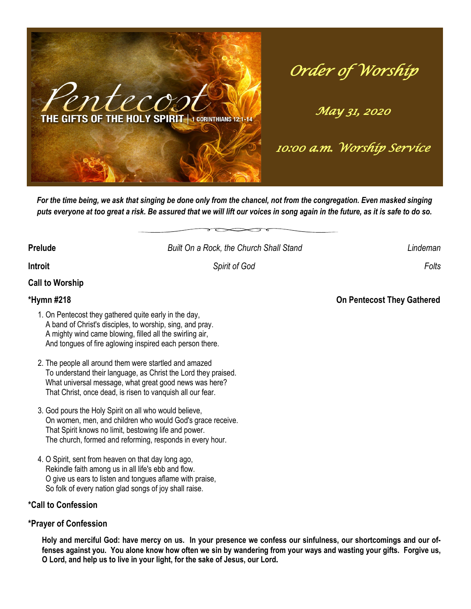

*Order of Worship* 

*May 31, 2020* 

*10:00 a.m. Worship Service* 

**Prelude** *Built On a Rock, the Church Shall Stand Lindeman*

*For the time being, we ask that singing be done only from the chancel, not from the congregation. Even masked singing puts everyone at too great a risk. Be assured that we will lift our voices in song again in the future, as it is safe to do so.* 

**Introit** *Spirit of God Folts* 

**Call to Worship**

- 1. On Pentecost they gathered quite early in the day, A band of Christ's disciples, to worship, sing, and pray. A mighty wind came blowing, filled all the swirling air, And tongues of fire aglowing inspired each person there.
- 2. The people all around them were startled and amazed To understand their language, as Christ the Lord they praised. What universal message, what great good news was here? That Christ, once dead, is risen to vanquish all our fear.
- 3. God pours the Holy Spirit on all who would believe, On women, men, and children who would God's grace receive. That Spirit knows no limit, bestowing life and power. The church, formed and reforming, responds in every hour.
- 4. O Spirit, sent from heaven on that day long ago, Rekindle faith among us in all life's ebb and flow. O give us ears to listen and tongues aflame with praise, So folk of every nation glad songs of joy shall raise.

## **\*Call to Confession**

## **\*Prayer of Confession**

**Holy and merciful God: have mercy on us. In your presence we confess our sinfulness, our shortcomings and our offenses against you. You alone know how often we sin by wandering from your ways and wasting your gifts. Forgive us, O Lord, and help us to live in your light, for the sake of Jesus, our Lord.**

**\*Hymn #218 On Pentecost They Gathered**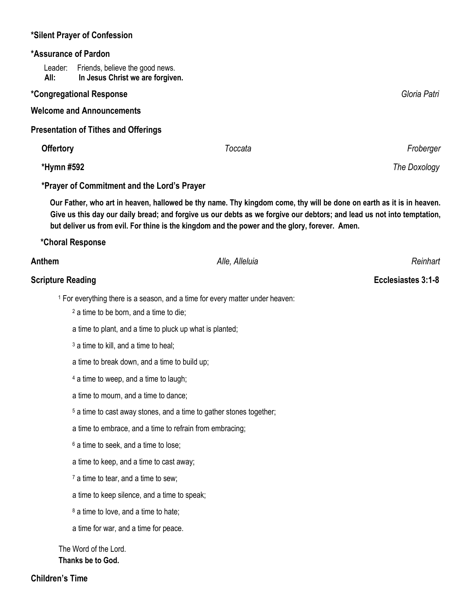## **\*Silent Prayer of Confession**

## **\*Assurance of Pardon**

Leader: Friends, believe the good news.  **All: In Jesus Christ we are forgiven.**

## **\*Congregational Response** *Gloria Patri*

**Welcome and Announcements**

**Presentation of Tithes and Offerings** 

| <b>Offertory</b>                            | Toccata | Froberger    |
|---------------------------------------------|---------|--------------|
| *Hymn #592                                  |         | The Doxology |
| *Prayer of Commitment and the Lord's Prayer |         |              |

 **Our Father, who art in heaven, hallowed be thy name. Thy kingdom come, thy will be done on earth as it is in heaven. Give us this day our daily bread; and forgive us our debts as we forgive our debtors; and lead us not into temptation, but deliver us from evil. For thine is the kingdom and the power and the glory, forever. Amen.** 

### **\*Choral Response**

| Anthem                                           | Alle, Alleluia                                                                           | Reinhart           |
|--------------------------------------------------|------------------------------------------------------------------------------------------|--------------------|
| <b>Scripture Reading</b>                         |                                                                                          | Ecclesiastes 3:1-8 |
|                                                  | <sup>1</sup> For everything there is a season, and a time for every matter under heaven: |                    |
|                                                  | <sup>2</sup> a time to be born, and a time to die;                                       |                    |
|                                                  | a time to plant, and a time to pluck up what is planted;                                 |                    |
| <sup>3</sup> a time to kill, and a time to heal; |                                                                                          |                    |
|                                                  | a time to break down, and a time to build up;                                            |                    |
|                                                  | 4 a time to weep, and a time to laugh;                                                   |                    |
|                                                  | a time to mourn, and a time to dance;                                                    |                    |
|                                                  | <sup>5</sup> a time to cast away stones, and a time to gather stones together;           |                    |
|                                                  | a time to embrace, and a time to refrain from embracing;                                 |                    |
|                                                  | <sup>6</sup> a time to seek, and a time to lose;                                         |                    |
|                                                  | a time to keep, and a time to cast away;                                                 |                    |
|                                                  | <sup>7</sup> a time to tear, and a time to sew;                                          |                    |
|                                                  | a time to keep silence, and a time to speak;                                             |                    |
|                                                  | <sup>8</sup> a time to love, and a time to hate;                                         |                    |
|                                                  | a time for war, and a time for peace.                                                    |                    |
| The Word of the Lord.                            |                                                                                          |                    |
| Thanks be to God.                                |                                                                                          |                    |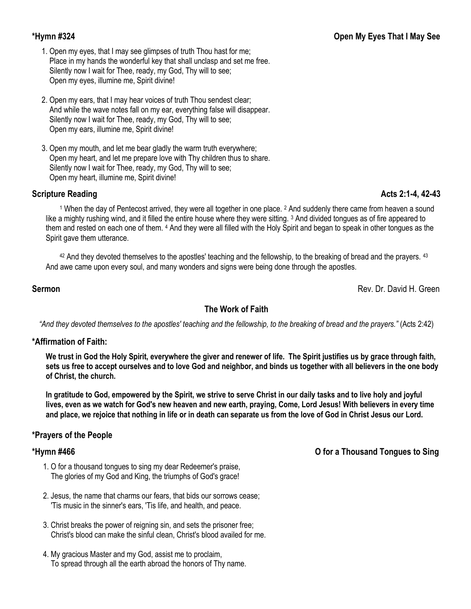- 1. Open my eyes, that I may see glimpses of truth Thou hast for me; Place in my hands the wonderful key that shall unclasp and set me free. Silently now I wait for Thee, ready, my God, Thy will to see; Open my eyes, illumine me, Spirit divine!
- 2. Open my ears, that I may hear voices of truth Thou sendest clear; And while the wave notes fall on my ear, everything false will disappear. Silently now I wait for Thee, ready, my God, Thy will to see; Open my ears, illumine me, Spirit divine!
- 3. Open my mouth, and let me bear gladly the warm truth everywhere; Open my heart, and let me prepare love with Thy children thus to share. Silently now I wait for Thee, ready, my God, Thy will to see; Open my heart, illumine me, Spirit divine!

## **Scripture Reading Acts 2:1-4, 42-43**

<sup>1</sup> When the day of Pentecost arrived, they were all together in one place. <sup>2</sup> And suddenly there came from heaven a sound like a mighty rushing wind, and it filled the entire house where they were sitting. <sup>3</sup> And divided tongues as of fire appeared to them and rested on each one of them. <sup>4</sup> And they were all filled with the Holy Spirit and began to speak in other tongues as the Spirit gave them utterance.

 $42$  And they devoted themselves to the apostles' teaching and the fellowship, to the breaking of bread and the prayers.  $43$ And awe came upon every soul, and many wonders and signs were being done through the apostles.

### **Sermon** Rev. Dr. David H. Green

## **The Work of Faith**

*"And they devoted themselves to the apostles' teaching and the fellowship, to the breaking of bread and the prayers."* (Acts 2:42)

### **\*Affirmation of Faith:**

**We trust in God the Holy Spirit, everywhere the giver and renewer of life. The Spirit justifies us by grace through faith, sets us free to accept ourselves and to love God and neighbor, and binds us together with all believers in the one body of Christ, the church.** 

**In gratitude to God, empowered by the Spirit, we strive to serve Christ in our daily tasks and to live holy and joyful lives, even as we watch for God's new heaven and new earth, praying, Come, Lord Jesus! With believers in every time and place, we rejoice that nothing in life or in death can separate us from the love of God in Christ Jesus our Lord.**

## **\*Prayers of the People**

- 1. O for a thousand tongues to sing my dear Redeemer's praise, The glories of my God and King, the triumphs of God's grace!
- 2. Jesus, the name that charms our fears, that bids our sorrows cease; 'Tis music in the sinner's ears, 'Tis life, and health, and peace.
- 3. Christ breaks the power of reigning sin, and sets the prisoner free; Christ's blood can make the sinful clean, Christ's blood availed for me.
- 4. My gracious Master and my God, assist me to proclaim, To spread through all the earth abroad the honors of Thy name.

## **\*Hymn #466 O for a Thousand Tongues to Sing**